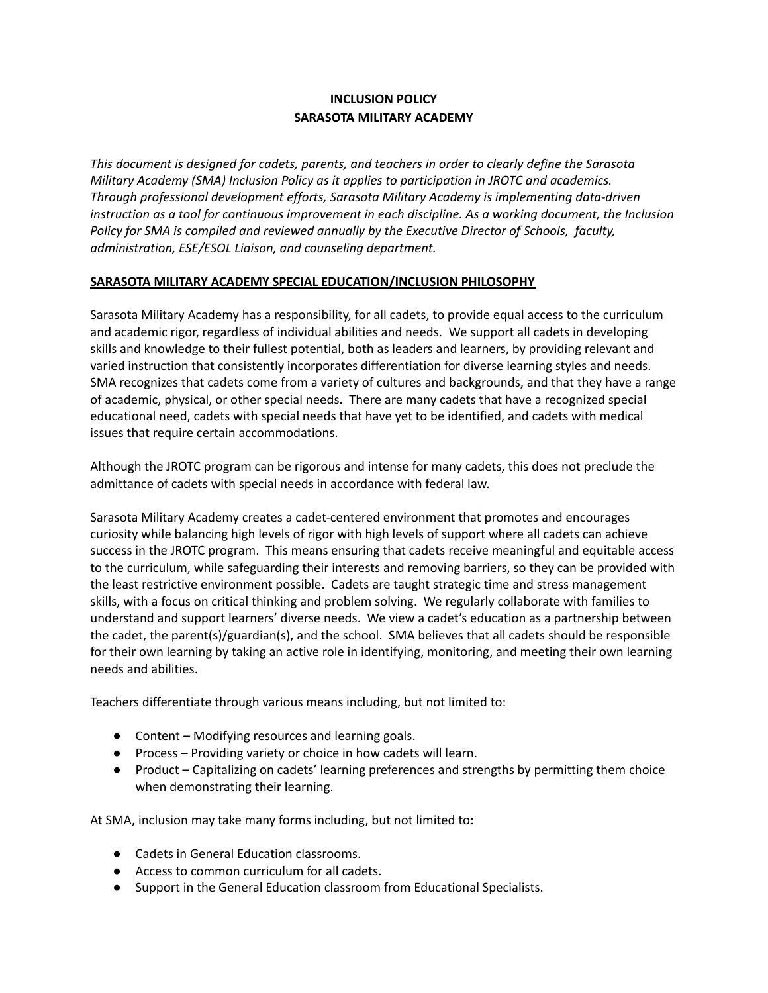# **INCLUSION POLICY SARASOTA MILITARY ACADEMY**

*This document is designed for cadets, parents, and teachers in order to clearly define the Sarasota Military Academy (SMA) Inclusion Policy as it applies to participation in JROTC and academics. Through professional development efforts, Sarasota Military Academy is implementing data-driven instruction as a tool for continuous improvement in each discipline. As a working document, the Inclusion Policy for SMA is compiled and reviewed annually by the Executive Director of Schools, faculty, administration, ESE/ESOL Liaison, and counseling department.*

## **SARASOTA MILITARY ACADEMY SPECIAL EDUCATION/INCLUSION PHILOSOPHY**

Sarasota Military Academy has a responsibility, for all cadets, to provide equal access to the curriculum and academic rigor, regardless of individual abilities and needs. We support all cadets in developing skills and knowledge to their fullest potential, both as leaders and learners, by providing relevant and varied instruction that consistently incorporates differentiation for diverse learning styles and needs. SMA recognizes that cadets come from a variety of cultures and backgrounds, and that they have a range of academic, physical, or other special needs. There are many cadets that have a recognized special educational need, cadets with special needs that have yet to be identified, and cadets with medical issues that require certain accommodations.

Although the JROTC program can be rigorous and intense for many cadets, this does not preclude the admittance of cadets with special needs in accordance with federal law.

Sarasota Military Academy creates a cadet-centered environment that promotes and encourages curiosity while balancing high levels of rigor with high levels of support where all cadets can achieve success in the JROTC program. This means ensuring that cadets receive meaningful and equitable access to the curriculum, while safeguarding their interests and removing barriers, so they can be provided with the least restrictive environment possible. Cadets are taught strategic time and stress management skills, with a focus on critical thinking and problem solving. We regularly collaborate with families to understand and support learners' diverse needs. We view a cadet's education as a partnership between the cadet, the parent(s)/guardian(s), and the school. SMA believes that all cadets should be responsible for their own learning by taking an active role in identifying, monitoring, and meeting their own learning needs and abilities.

Teachers differentiate through various means including, but not limited to:

- Content Modifying resources and learning goals.
- Process Providing variety or choice in how cadets will learn.
- Product Capitalizing on cadets' learning preferences and strengths by permitting them choice when demonstrating their learning.

At SMA, inclusion may take many forms including, but not limited to:

- Cadets in General Education classrooms.
- Access to common curriculum for all cadets.
- Support in the General Education classroom from Educational Specialists.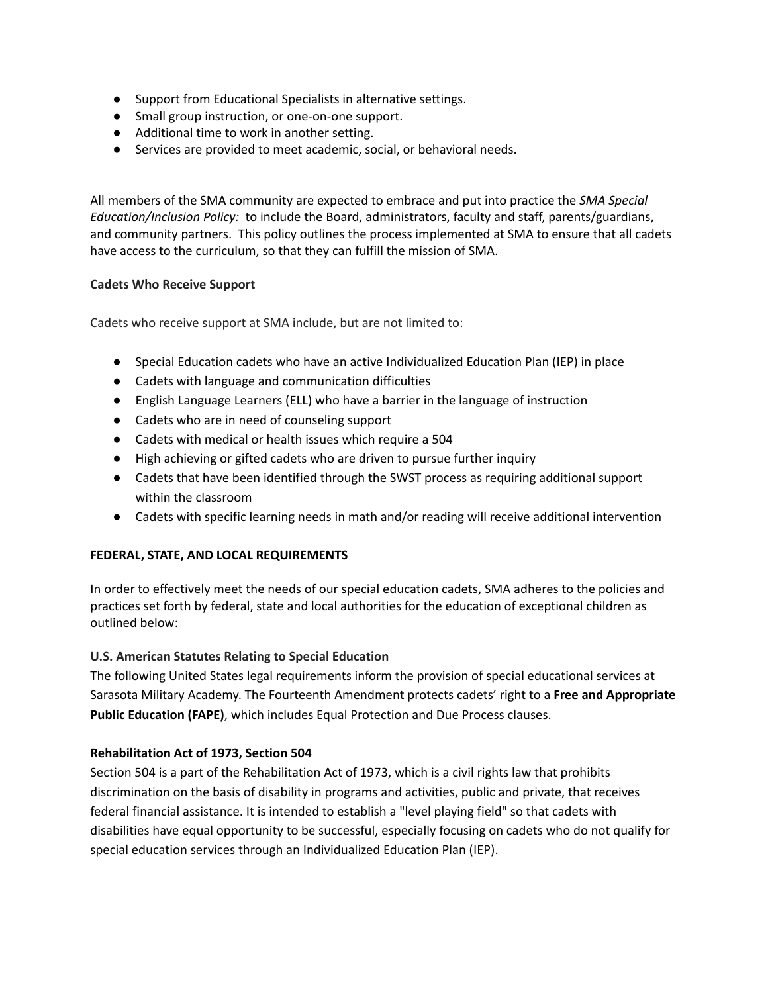- Support from Educational Specialists in alternative settings.
- Small group instruction, or one-on-one support.
- Additional time to work in another setting.
- Services are provided to meet academic, social, or behavioral needs.

All members of the SMA community are expected to embrace and put into practice the *SMA Special Education/Inclusion Policy:* to include the Board, administrators, faculty and staff, parents/guardians, and community partners. This policy outlines the process implemented at SMA to ensure that all cadets have access to the curriculum, so that they can fulfill the mission of SMA.

#### **Cadets Who Receive Support**

Cadets who receive support at SMA include, but are not limited to:

- Special Education cadets who have an active Individualized Education Plan (IEP) in place
- Cadets with language and communication difficulties
- English Language Learners (ELL) who have a barrier in the language of instruction
- Cadets who are in need of counseling support
- Cadets with medical or health issues which require a 504
- High achieving or gifted cadets who are driven to pursue further inquiry
- Cadets that have been identified through the SWST process as requiring additional support within the classroom
- Cadets with specific learning needs in math and/or reading will receive additional intervention

#### **FEDERAL, STATE, AND LOCAL REQUIREMENTS**

In order to effectively meet the needs of our special education cadets, SMA adheres to the policies and practices set forth by federal, state and local authorities for the education of exceptional children as outlined below:

#### **U.S. American Statutes Relating to Special Education**

The following United States legal requirements inform the provision of special educational services at Sarasota Military Academy. The Fourteenth Amendment protects cadets' right to a **Free and Appropriate Public Education (FAPE)**, which includes Equal Protection and Due Process clauses.

#### **Rehabilitation Act of 1973, Section 504**

Section 504 is a part of the Rehabilitation Act of 1973, which is a civil rights law that prohibits discrimination on the basis of disability in programs and activities, public and private, that receives federal financial assistance. It is intended to establish a "level playing field" so that cadets with disabilities have equal opportunity to be successful, especially focusing on cadets who do not qualify for special education services through an Individualized Education Plan (IEP).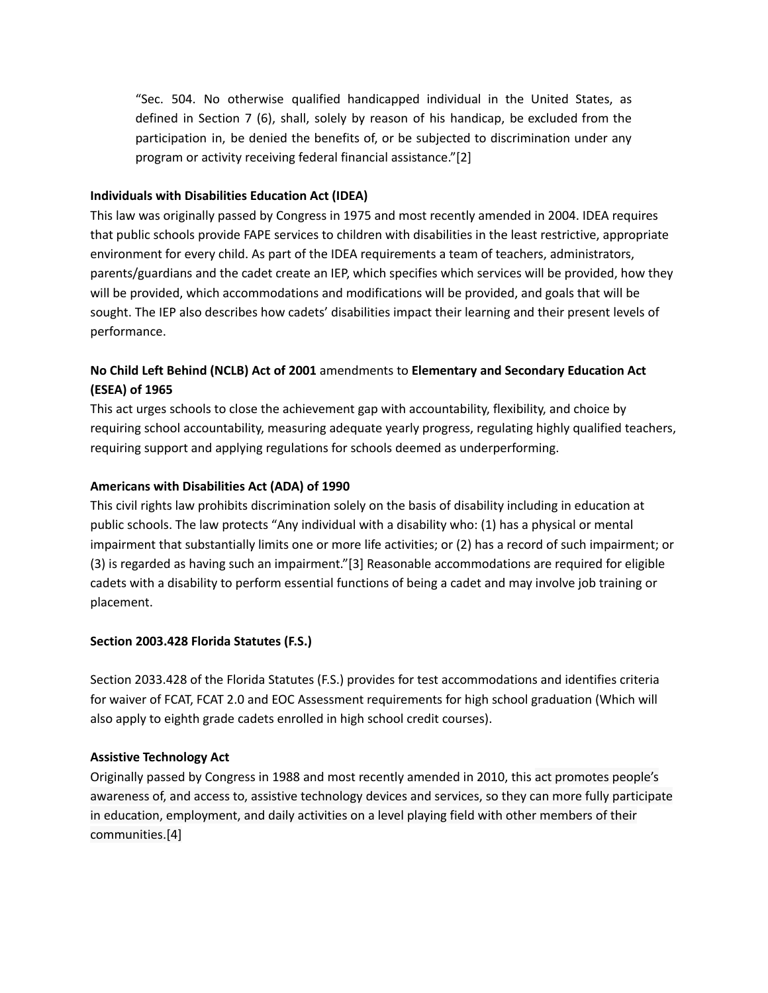"Sec. 504. No otherwise qualified handicapped individual in the United States, as defined in Section 7 (6), shall, solely by reason of his handicap, be excluded from the participation in, be denied the benefits of, or be subjected to discrimination under any program or activity receiving federal financial assistance."[2]

#### **Individuals with Disabilities Education Act (IDEA)**

This law was originally passed by Congress in 1975 and most recently amended in 2004. IDEA requires that public schools provide FAPE services to children with disabilities in the least restrictive, appropriate environment for every child. As part of the IDEA requirements a team of teachers, administrators, parents/guardians and the cadet create an IEP, which specifies which services will be provided, how they will be provided, which accommodations and modifications will be provided, and goals that will be sought. The IEP also describes how cadets' disabilities impact their learning and their present levels of performance.

# **No Child Left Behind (NCLB) Act of 2001** amendments to **Elementary and Secondary Education Act (ESEA) of 1965**

This act urges schools to close the achievement gap with accountability, flexibility, and choice by requiring school accountability, measuring adequate yearly progress, regulating highly qualified teachers, requiring support and applying regulations for schools deemed as underperforming.

## **Americans with Disabilities Act (ADA) of 1990**

This civil rights law prohibits discrimination solely on the basis of disability including in education at public schools. The law protects "Any individual with a disability who: (1) has a physical or mental impairment that substantially limits one or more life activities; or (2) has a record of such impairment; or (3) is regarded as having such an impairment."[3] Reasonable accommodations are required for eligible cadets with a disability to perform essential functions of being a cadet and may involve job training or placement.

# **Section 2003.428 Florida Statutes (F.S.)**

Section 2033.428 of the Florida Statutes (F.S.) provides for test accommodations and identifies criteria for waiver of FCAT, FCAT 2.0 and EOC Assessment requirements for high school graduation (Which will also apply to eighth grade cadets enrolled in high school credit courses).

#### **Assistive Technology Act**

Originally passed by Congress in 1988 and most recently amended in 2010, this act promotes people's awareness of, and access to, assistive technology devices and services, so they can more fully participate in education, employment, and daily activities on a level playing field with other members of their communities.[4]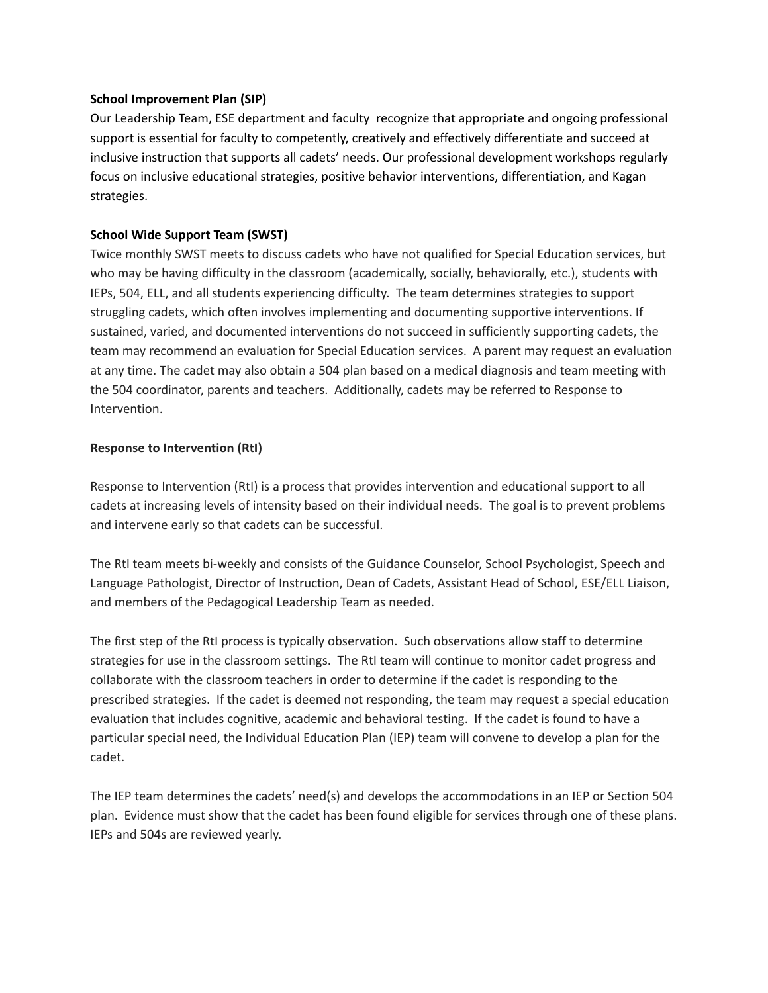#### **School Improvement Plan (SIP)**

Our Leadership Team, ESE department and faculty recognize that appropriate and ongoing professional support is essential for faculty to competently, creatively and effectively differentiate and succeed at inclusive instruction that supports all cadets' needs. Our professional development workshops regularly focus on inclusive educational strategies, positive behavior interventions, differentiation, and Kagan strategies.

#### **School Wide Support Team (SWST)**

Twice monthly SWST meets to discuss cadets who have not qualified for Special Education services, but who may be having difficulty in the classroom (academically, socially, behaviorally, etc.), students with IEPs, 504, ELL, and all students experiencing difficulty. The team determines strategies to support struggling cadets, which often involves implementing and documenting supportive interventions. If sustained, varied, and documented interventions do not succeed in sufficiently supporting cadets, the team may recommend an evaluation for Special Education services. A parent may request an evaluation at any time. The cadet may also obtain a 504 plan based on a medical diagnosis and team meeting with the 504 coordinator, parents and teachers. Additionally, cadets may be referred to Response to Intervention.

#### **Response to Intervention (RtI)**

Response to Intervention (RtI) is a process that provides intervention and educational support to all cadets at increasing levels of intensity based on their individual needs. The goal is to prevent problems and intervene early so that cadets can be successful.

The RtI team meets bi-weekly and consists of the Guidance Counselor, School Psychologist, Speech and Language Pathologist, Director of Instruction, Dean of Cadets, Assistant Head of School, ESE/ELL Liaison, and members of the Pedagogical Leadership Team as needed.

The first step of the RtI process is typically observation. Such observations allow staff to determine strategies for use in the classroom settings. The RtI team will continue to monitor cadet progress and collaborate with the classroom teachers in order to determine if the cadet is responding to the prescribed strategies. If the cadet is deemed not responding, the team may request a special education evaluation that includes cognitive, academic and behavioral testing. If the cadet is found to have a particular special need, the Individual Education Plan (IEP) team will convene to develop a plan for the cadet.

The IEP team determines the cadets' need(s) and develops the accommodations in an IEP or Section 504 plan. Evidence must show that the cadet has been found eligible for services through one of these plans. IEPs and 504s are reviewed yearly.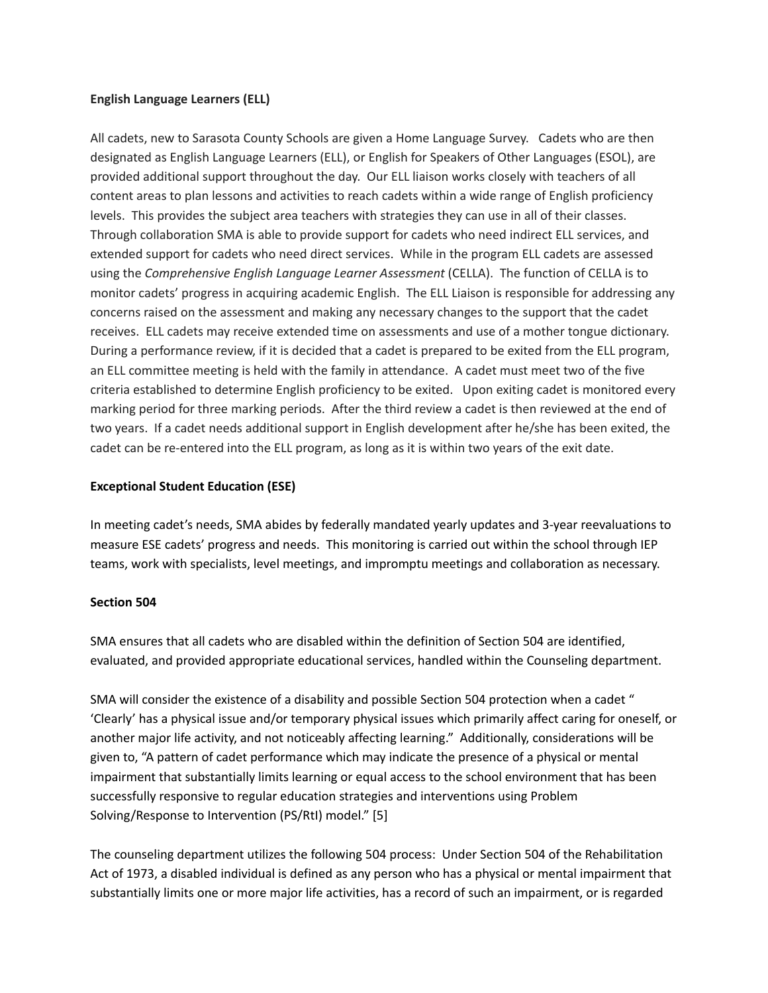#### **English Language Learners (ELL)**

All cadets, new to Sarasota County Schools are given a Home Language Survey. Cadets who are then designated as English Language Learners (ELL), or English for Speakers of Other Languages (ESOL), are provided additional support throughout the day. Our ELL liaison works closely with teachers of all content areas to plan lessons and activities to reach cadets within a wide range of English proficiency levels. This provides the subject area teachers with strategies they can use in all of their classes. Through collaboration SMA is able to provide support for cadets who need indirect ELL services, and extended support for cadets who need direct services. While in the program ELL cadets are assessed using the *Comprehensive English Language Learner Assessment* (CELLA). The function of CELLA is to monitor cadets' progress in acquiring academic English. The ELL Liaison is responsible for addressing any concerns raised on the assessment and making any necessary changes to the support that the cadet receives. ELL cadets may receive extended time on assessments and use of a mother tongue dictionary. During a performance review, if it is decided that a cadet is prepared to be exited from the ELL program, an ELL committee meeting is held with the family in attendance. A cadet must meet two of the five criteria established to determine English proficiency to be exited. Upon exiting cadet is monitored every marking period for three marking periods. After the third review a cadet is then reviewed at the end of two years. If a cadet needs additional support in English development after he/she has been exited, the cadet can be re-entered into the ELL program, as long as it is within two years of the exit date.

#### **Exceptional Student Education (ESE)**

In meeting cadet's needs, SMA abides by federally mandated yearly updates and 3-year reevaluations to measure ESE cadets' progress and needs. This monitoring is carried out within the school through IEP teams, work with specialists, level meetings, and impromptu meetings and collaboration as necessary.

#### **Section 504**

SMA ensures that all cadets who are disabled within the definition of Section 504 are identified, evaluated, and provided appropriate educational services, handled within the Counseling department.

SMA will consider the existence of a disability and possible Section 504 protection when a cadet " 'Clearly' has a physical issue and/or temporary physical issues which primarily affect caring for oneself, or another major life activity, and not noticeably affecting learning." Additionally, considerations will be given to, "A pattern of cadet performance which may indicate the presence of a physical or mental impairment that substantially limits learning or equal access to the school environment that has been successfully responsive to regular education strategies and interventions using Problem Solving/Response to Intervention (PS/RtI) model." [5]

The counseling department utilizes the following 504 process: Under Section 504 of the Rehabilitation Act of 1973, a disabled individual is defined as any person who has a physical or mental impairment that substantially limits one or more major life activities, has a record of such an impairment, or is regarded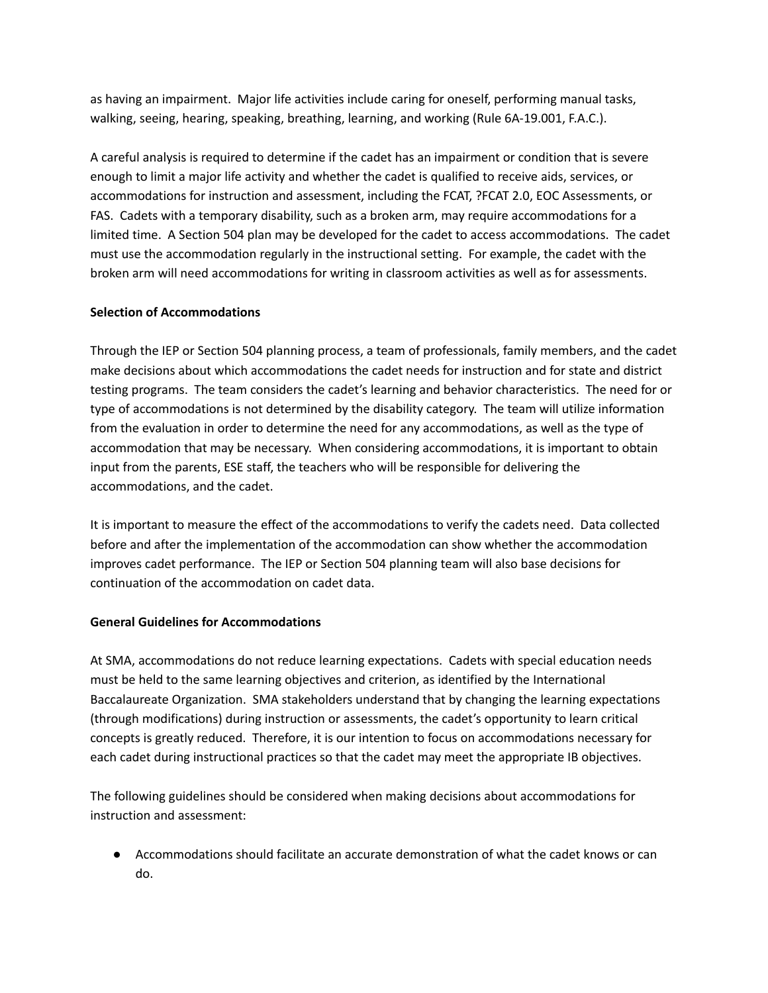as having an impairment. Major life activities include caring for oneself, performing manual tasks, walking, seeing, hearing, speaking, breathing, learning, and working (Rule 6A-19.001, F.A.C.).

A careful analysis is required to determine if the cadet has an impairment or condition that is severe enough to limit a major life activity and whether the cadet is qualified to receive aids, services, or accommodations for instruction and assessment, including the FCAT, ?FCAT 2.0, EOC Assessments, or FAS. Cadets with a temporary disability, such as a broken arm, may require accommodations for a limited time. A Section 504 plan may be developed for the cadet to access accommodations. The cadet must use the accommodation regularly in the instructional setting. For example, the cadet with the broken arm will need accommodations for writing in classroom activities as well as for assessments.

## **Selection of Accommodations**

Through the IEP or Section 504 planning process, a team of professionals, family members, and the cadet make decisions about which accommodations the cadet needs for instruction and for state and district testing programs. The team considers the cadet's learning and behavior characteristics. The need for or type of accommodations is not determined by the disability category. The team will utilize information from the evaluation in order to determine the need for any accommodations, as well as the type of accommodation that may be necessary. When considering accommodations, it is important to obtain input from the parents, ESE staff, the teachers who will be responsible for delivering the accommodations, and the cadet.

It is important to measure the effect of the accommodations to verify the cadets need. Data collected before and after the implementation of the accommodation can show whether the accommodation improves cadet performance. The IEP or Section 504 planning team will also base decisions for continuation of the accommodation on cadet data.

#### **General Guidelines for Accommodations**

At SMA, accommodations do not reduce learning expectations. Cadets with special education needs must be held to the same learning objectives and criterion, as identified by the International Baccalaureate Organization. SMA stakeholders understand that by changing the learning expectations (through modifications) during instruction or assessments, the cadet's opportunity to learn critical concepts is greatly reduced. Therefore, it is our intention to focus on accommodations necessary for each cadet during instructional practices so that the cadet may meet the appropriate IB objectives.

The following guidelines should be considered when making decisions about accommodations for instruction and assessment:

● Accommodations should facilitate an accurate demonstration of what the cadet knows or can do.